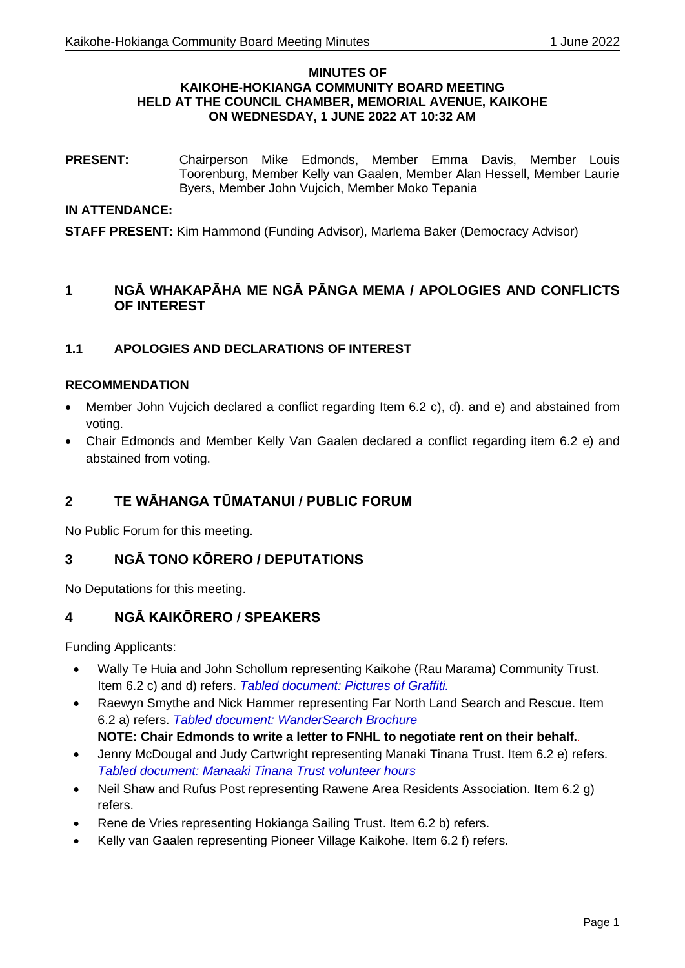#### **MINUTES OF KAIKOHE-HOKIANGA COMMUNITY BOARD MEETING HELD AT THE COUNCIL CHAMBER, MEMORIAL AVENUE, KAIKOHE ON WEDNESDAY, 1 JUNE 2022 AT 10:32 AM**

**PRESENT:** Chairperson Mike Edmonds, Member Emma Davis, Member Louis Toorenburg, Member Kelly van Gaalen, Member Alan Hessell, Member Laurie Byers, Member John Vujcich, Member Moko Tepania

### **IN ATTENDANCE:**

**STAFF PRESENT:** Kim Hammond (Funding Advisor), Marlema Baker (Democracy Advisor)

# **1 NGĀ WHAKAPĀHA ME NGĀ PĀNGA MEMA / APOLOGIES AND CONFLICTS OF INTEREST**

## **1.1 APOLOGIES AND DECLARATIONS OF INTEREST**

### **RECOMMENDATION**

- Member John Vujcich declared a conflict regarding Item 6.2 c), d). and e) and abstained from voting.
- Chair Edmonds and Member Kelly Van Gaalen declared a conflict regarding item 6.2 e) and abstained from voting.

# **2 TE WĀHANGA TŪMATANUI / PUBLIC FORUM**

No Public Forum for this meeting.

# **3 NGĀ TONO KŌRERO / DEPUTATIONS**

No Deputations for this meeting.

# **4 NGĀ KAIKŌRERO / SPEAKERS**

Funding Applicants:

- Wally Te Huia and John Schollum representing Kaikohe (Rau Marama) Community Trust. Item 6.2 c) and d) refers. *Tabled document: Pictures of Graffiti.*
- Raewyn Smythe and Nick Hammer representing Far North Land Search and Rescue. Item 6.2 a) refers. *Tabled document: WanderSearch Brochure*
	- **NOTE: Chair Edmonds to write a letter to FNHL to negotiate rent on their behalf.***.*
- Jenny McDougal and Judy Cartwright representing Manaki Tinana Trust. Item 6.2 e) refers. *Tabled document: Manaaki Tinana Trust volunteer hours*
- Neil Shaw and Rufus Post representing Rawene Area Residents Association. Item 6.2 g) refers.
- Rene de Vries representing Hokianga Sailing Trust. Item 6.2 b) refers.
- Kelly van Gaalen representing Pioneer Village Kaikohe. Item 6.2 f) refers.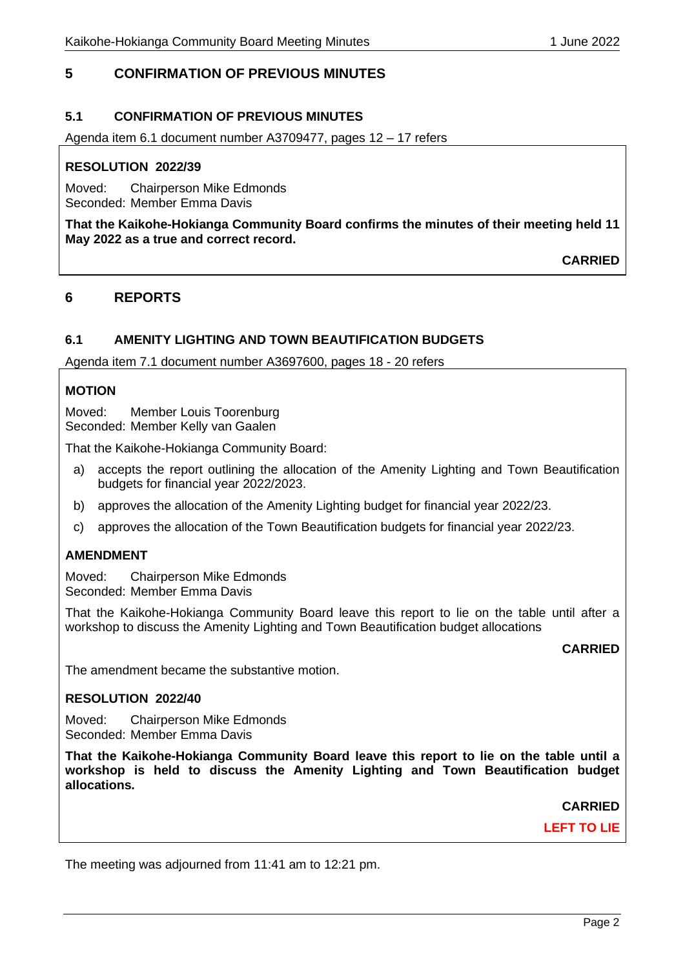# **5 CONFIRMATION OF PREVIOUS MINUTES**

## **5.1 CONFIRMATION OF PREVIOUS MINUTES**

Agenda item 6.1 document number A3709477, pages 12 – 17 refers

#### **RESOLUTION 2022/39**

Moved: Chairperson Mike Edmonds Seconded: Member Emma Davis

**That the Kaikohe-Hokianga Community Board confirms the minutes of their meeting held 11 May 2022 as a true and correct record.**

**CARRIED**

## **6 REPORTS**

### **6.1 AMENITY LIGHTING AND TOWN BEAUTIFICATION BUDGETS**

Agenda item 7.1 document number A3697600, pages 18 - 20 refers

### **MOTION**

Moved: Member Louis Toorenburg Seconded: Member Kelly van Gaalen

That the Kaikohe-Hokianga Community Board:

- a) accepts the report outlining the allocation of the Amenity Lighting and Town Beautification budgets for financial year 2022/2023.
- b) approves the allocation of the Amenity Lighting budget for financial year 2022/23.
- c) approves the allocation of the Town Beautification budgets for financial year 2022/23.

### **AMENDMENT**

Moved: Chairperson Mike Edmonds Seconded: Member Emma Davis

That the Kaikohe-Hokianga Community Board leave this report to lie on the table until after a workshop to discuss the Amenity Lighting and Town Beautification budget allocations

**CARRIED**

The amendment became the substantive motion.

#### **RESOLUTION 2022/40**

Moved: Chairperson Mike Edmonds Seconded: Member Emma Davis

**That the Kaikohe-Hokianga Community Board leave this report to lie on the table until a workshop is held to discuss the Amenity Lighting and Town Beautification budget allocations.**

**CARRIED**

**LEFT TO LIE**

The meeting was adjourned from 11:41 am to 12:21 pm.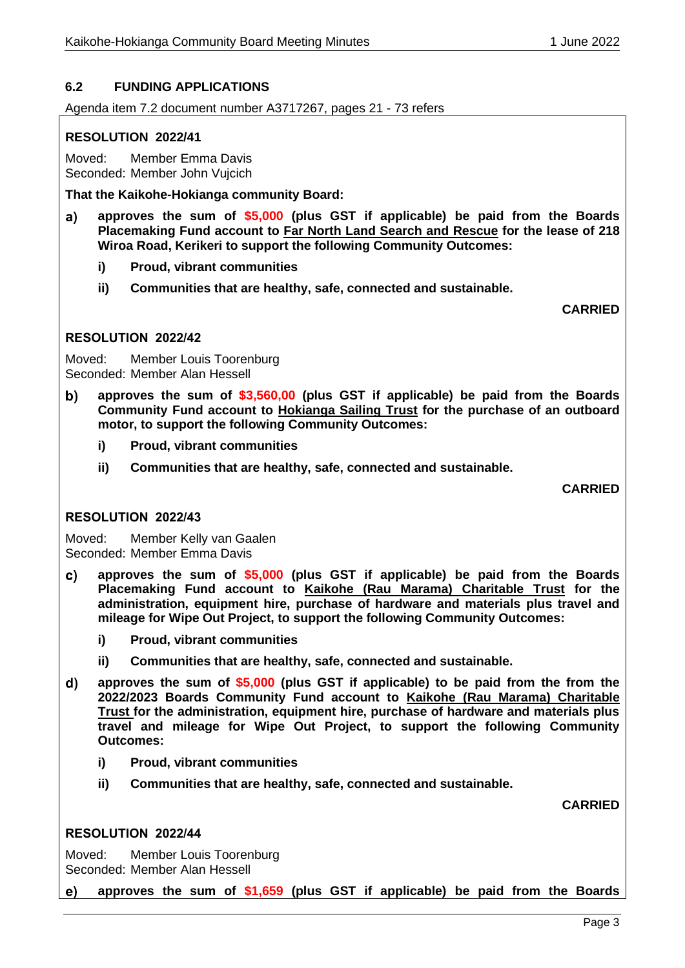### **6.2 FUNDING APPLICATIONS**

Agenda item 7.2 document number A3717267, pages 21 - 73 refers

#### **RESOLUTION 2022/41**

Moved: Member Emma Davis Seconded: Member John Vujcich

**That the Kaikohe-Hokianga community Board:**

- **approves the sum of \$5,000 (plus GST if applicable) be paid from the Boards**  a) **Placemaking Fund account to Far North Land Search and Rescue for the lease of 218 Wiroa Road, Kerikeri to support the following Community Outcomes:**
	- **i) Proud, vibrant communities**
	- **ii) Communities that are healthy, safe, connected and sustainable.**

**CARRIED**

#### **RESOLUTION 2022/42**

Moved: Member Louis Toorenburg Seconded: Member Alan Hessell

- b) **approves the sum of \$3,560,00 (plus GST if applicable) be paid from the Boards Community Fund account to Hokianga Sailing Trust for the purchase of an outboard motor, to support the following Community Outcomes:**
	- **i) Proud, vibrant communities**
	- **ii) Communities that are healthy, safe, connected and sustainable.**

**CARRIED**

#### **RESOLUTION 2022/43**

Moved: Member Kelly van Gaalen Seconded: Member Emma Davis

- **approves the sum of \$5,000 (plus GST if applicable) be paid from the Boards**   $\mathbf{c}$ **Placemaking Fund account to Kaikohe (Rau Marama) Charitable Trust for the administration, equipment hire, purchase of hardware and materials plus travel and mileage for Wipe Out Project, to support the following Community Outcomes:**
	- **i) Proud, vibrant communities**
	- **ii) Communities that are healthy, safe, connected and sustainable.**
- **approves the sum of \$5,000 (plus GST if applicable) to be paid from the from the**   $\mathsf{d}$ **2022/2023 Boards Community Fund account to Kaikohe (Rau Marama) Charitable Trust for the administration, equipment hire, purchase of hardware and materials plus travel and mileage for Wipe Out Project, to support the following Community Outcomes:**
	- **i) Proud, vibrant communities**
	- **ii) Communities that are healthy, safe, connected and sustainable.**

**CARRIED**

#### **RESOLUTION 2022/44**

Moved: Member Louis Toorenburg Seconded: Member Alan Hessell

**approves the sum of \$1,659 (plus GST if applicable) be paid from the Boards** e) —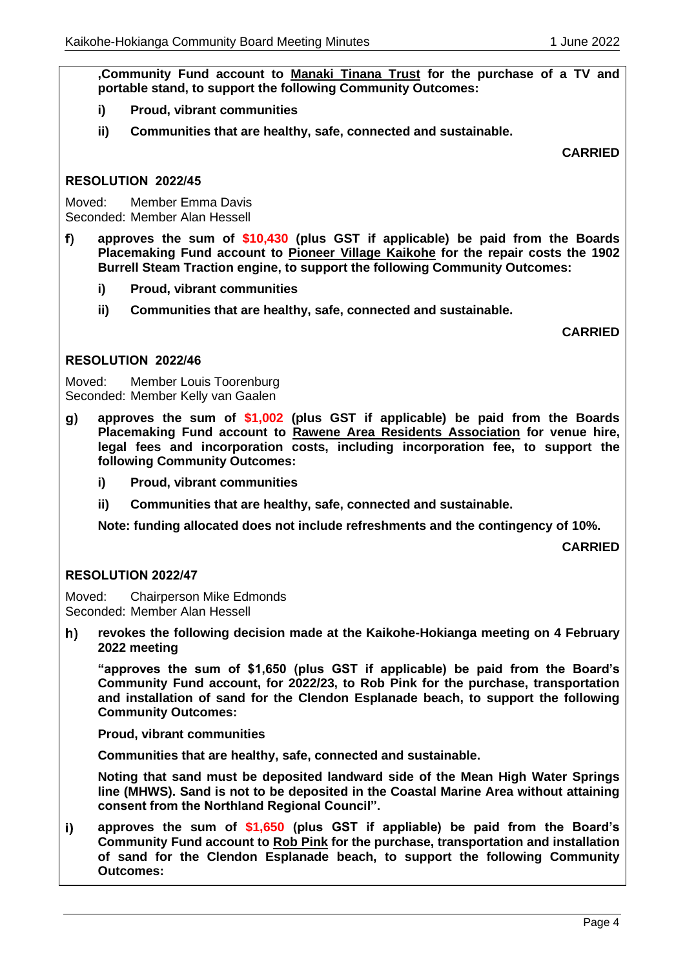**,Community Fund account to Manaki Tinana Trust for the purchase of a TV and portable stand, to support the following Community Outcomes:**

- **i) Proud, vibrant communities**
- **ii) Communities that are healthy, safe, connected and sustainable.**

**CARRIED**

### **RESOLUTION 2022/45**

Moved: Member Emma Davis Seconded: Member Alan Hessell

**approves the sum of \$10,430 (plus GST if applicable) be paid from the Boards**   $f$ **Placemaking Fund account to Pioneer Village Kaikohe for the repair costs the 1902 Burrell Steam Traction engine, to support the following Community Outcomes:**

- **i) Proud, vibrant communities**
- **ii) Communities that are healthy, safe, connected and sustainable.**

**CARRIED**

### **RESOLUTION 2022/46**

Moved: Member Louis Toorenburg Seconded: Member Kelly van Gaalen

- **approves the sum of \$1,002 (plus GST if applicable) be paid from the Boards**   $\mathbf{g}$ **Placemaking Fund account to Rawene Area Residents Association for venue hire, legal fees and incorporation costs, including incorporation fee, to support the following Community Outcomes:**
	- **i) Proud, vibrant communities**
	- **ii) Communities that are healthy, safe, connected and sustainable.**

**Note: funding allocated does not include refreshments and the contingency of 10%.**

**CARRIED**

### **RESOLUTION 2022/47**

Moved: Chairperson Mike Edmonds Seconded: Member Alan Hessell

**revokes the following decision made at the Kaikohe-Hokianga meeting on 4 February**  h) **2022 meeting**

**"approves the sum of \$1,650 (plus GST if applicable) be paid from the Board's Community Fund account, for 2022/23, to Rob Pink for the purchase, transportation and installation of sand for the Clendon Esplanade beach, to support the following Community Outcomes:**

**Proud, vibrant communities**

**Communities that are healthy, safe, connected and sustainable.**

**Noting that sand must be deposited landward side of the Mean High Water Springs line (MHWS). Sand is not to be deposited in the Coastal Marine Area without attaining consent from the Northland Regional Council".**

**approves the sum of \$1,650 (plus GST if appliable) be paid from the Board's**   $i)$ **Community Fund account to Rob Pink for the purchase, transportation and installation of sand for the Clendon Esplanade beach, to support the following Community Outcomes:**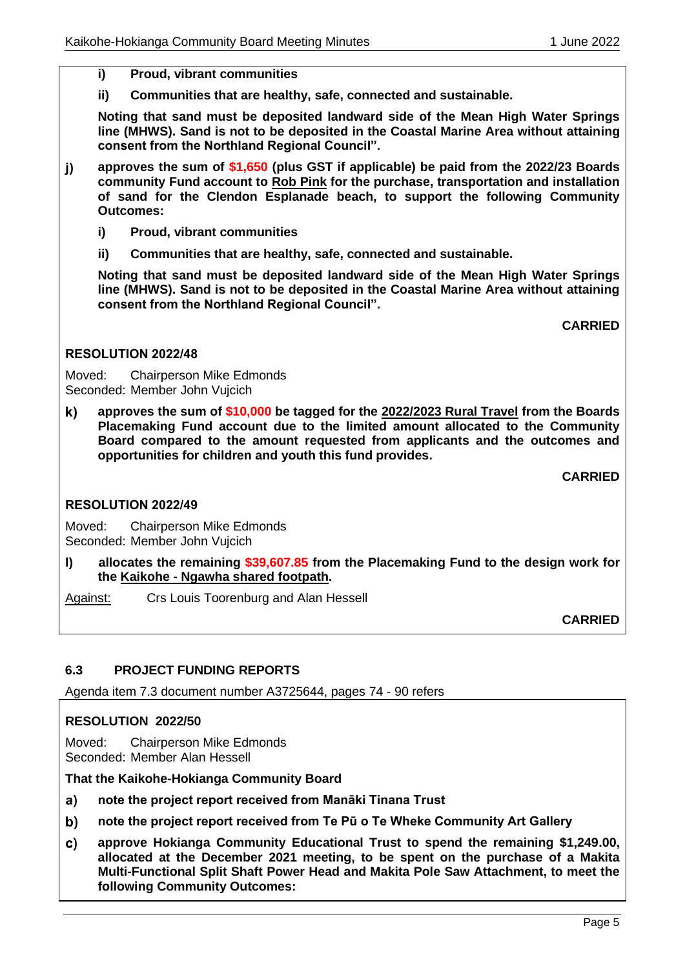- **i) Proud, vibrant communities**
- **ii) Communities that are healthy, safe, connected and sustainable.**

**Noting that sand must be deposited landward side of the Mean High Water Springs line (MHWS). Sand is not to be deposited in the Coastal Marine Area without attaining consent from the Northland Regional Council".**

- **approves the sum of \$1,650 (plus GST if applicable) be paid from the 2022/23 Boards**   $\mathbf{j}$ **community Fund account to Rob Pink for the purchase, transportation and installation of sand for the Clendon Esplanade beach, to support the following Community Outcomes:**
	- **i) Proud, vibrant communities**
	- **ii) Communities that are healthy, safe, connected and sustainable.**

**Noting that sand must be deposited landward side of the Mean High Water Springs line (MHWS). Sand is not to be deposited in the Coastal Marine Area without attaining consent from the Northland Regional Council".**

**CARRIED**

#### **RESOLUTION 2022/48**

Moved: Chairperson Mike Edmonds Seconded: Member John Vujcich

**approves the sum of \$10,000 be tagged for the 2022/2023 Rural Travel from the Boards**   $\mathbf{k}$ **Placemaking Fund account due to the limited amount allocated to the Community Board compared to the amount requested from applicants and the outcomes and opportunities for children and youth this fund provides.**

**CARRIED**

#### **RESOLUTION 2022/49**

Moved: Chairperson Mike Edmonds Seconded: Member John Vujcich

**l) allocates the remaining \$39,607.85 from the Placemaking Fund to the design work for the Kaikohe - Ngawha shared footpath.**

Against: Crs Louis Toorenburg and Alan Hessell

**CARRIED**

### **6.3 PROJECT FUNDING REPORTS**

Agenda item 7.3 document number A3725644, pages 74 - 90 refers

### **RESOLUTION 2022/50**

Moved: Chairperson Mike Edmonds Seconded: Member Alan Hessell

**That the Kaikohe-Hokianga Community Board** 

- $a)$ **note the project report received from Manāki Tinana Trust**
- b) **note the project report received from Te Pū o Te Wheke Community Art Gallery**
- c) **approve Hokianga Community Educational Trust to spend the remaining \$1,249.00, allocated at the December 2021 meeting, to be spent on the purchase of a Makita Multi-Functional Split Shaft Power Head and Makita Pole Saw Attachment, to meet the following Community Outcomes:**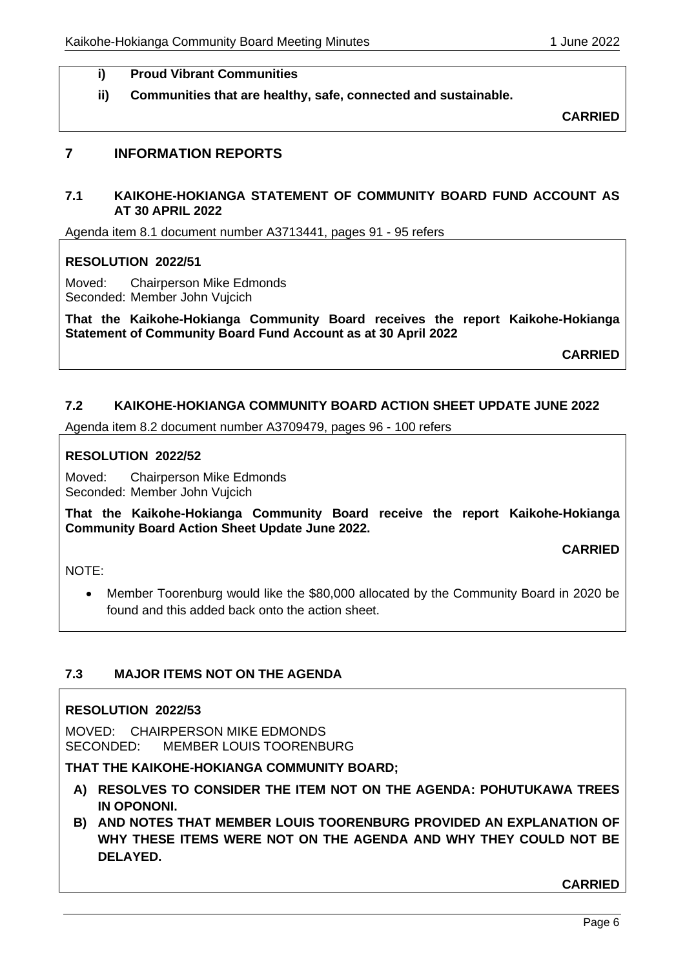### **i) Proud Vibrant Communities**

**ii) Communities that are healthy, safe, connected and sustainable.**

**CARRIED**

## **7 INFORMATION REPORTS**

### **7.1 KAIKOHE-HOKIANGA STATEMENT OF COMMUNITY BOARD FUND ACCOUNT AS AT 30 APRIL 2022**

Agenda item 8.1 document number A3713441, pages 91 - 95 refers

### **RESOLUTION 2022/51**

Moved: Chairperson Mike Edmonds Seconded: Member John Vujcich

**That the Kaikohe-Hokianga Community Board receives the report Kaikohe-Hokianga Statement of Community Board Fund Account as at 30 April 2022**

**CARRIED**

### **7.2 KAIKOHE-HOKIANGA COMMUNITY BOARD ACTION SHEET UPDATE JUNE 2022**

Agenda item 8.2 document number A3709479, pages 96 - 100 refers

### **RESOLUTION 2022/52**

Moved: Chairperson Mike Edmonds Seconded: Member John Vujcich

**That the Kaikohe-Hokianga Community Board receive the report Kaikohe-Hokianga Community Board Action Sheet Update June 2022.**

**CARRIED**

NOTE:

• Member Toorenburg would like the \$80,000 allocated by the Community Board in 2020 be found and this added back onto the action sheet.

## **7.3 MAJOR ITEMS NOT ON THE AGENDA**

### **RESOLUTION 2022/53**

MOVED: CHAIRPERSON MIKE EDMONDS SECONDED: MEMBER LOUIS TOORENBURG

## **THAT THE KAIKOHE-HOKIANGA COMMUNITY BOARD;**

- **A) RESOLVES TO CONSIDER THE ITEM NOT ON THE AGENDA: POHUTUKAWA TREES IN OPONONI.**
- **B) AND NOTES THAT MEMBER LOUIS TOORENBURG PROVIDED AN EXPLANATION OF WHY THESE ITEMS WERE NOT ON THE AGENDA AND WHY THEY COULD NOT BE DELAYED.**

**CARRIED**